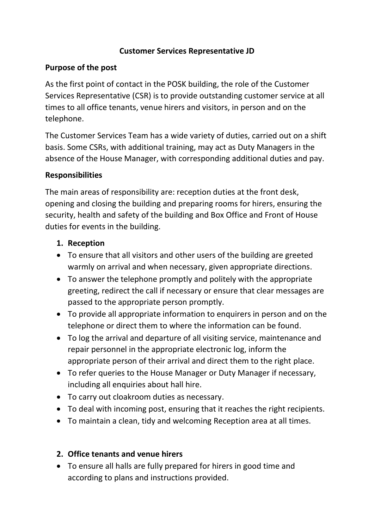#### **Customer Services Representative JD**

#### **Purpose of the post**

As the first point of contact in the POSK building, the role of the Customer Services Representative (CSR) is to provide outstanding customer service at all times to all office tenants, venue hirers and visitors, in person and on the telephone.

The Customer Services Team has a wide variety of duties, carried out on a shift basis. Some CSRs, with additional training, may act as Duty Managers in the absence of the House Manager, with corresponding additional duties and pay.

#### **Responsibilities**

The main areas of responsibility are: reception duties at the front desk, opening and closing the building and preparing rooms for hirers, ensuring the security, health and safety of the building and Box Office and Front of House duties for events in the building.

## **1. Reception**

- To ensure that all visitors and other users of the building are greeted warmly on arrival and when necessary, given appropriate directions.
- To answer the telephone promptly and politely with the appropriate greeting, redirect the call if necessary or ensure that clear messages are passed to the appropriate person promptly.
- To provide all appropriate information to enquirers in person and on the telephone or direct them to where the information can be found.
- To log the arrival and departure of all visiting service, maintenance and repair personnel in the appropriate electronic log, inform the appropriate person of their arrival and direct them to the right place.
- To refer queries to the House Manager or Duty Manager if necessary, including all enquiries about hall hire.
- To carry out cloakroom duties as necessary.
- To deal with incoming post, ensuring that it reaches the right recipients.
- To maintain a clean, tidy and welcoming Reception area at all times.

## **2. Office tenants and venue hirers**

• To ensure all halls are fully prepared for hirers in good time and according to plans and instructions provided.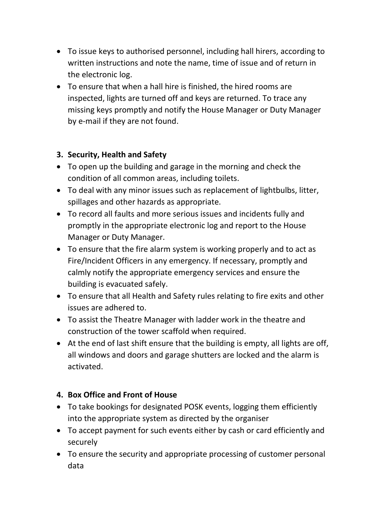- To issue keys to authorised personnel, including hall hirers, according to written instructions and note the name, time of issue and of return in the electronic log.
- To ensure that when a hall hire is finished, the hired rooms are inspected, lights are turned off and keys are returned. To trace any missing keys promptly and notify the House Manager or Duty Manager by e-mail if they are not found.

## **3. Security, Health and Safety**

- To open up the building and garage in the morning and check the condition of all common areas, including toilets.
- To deal with any minor issues such as replacement of lightbulbs, litter, spillages and other hazards as appropriate.
- To record all faults and more serious issues and incidents fully and promptly in the appropriate electronic log and report to the House Manager or Duty Manager.
- To ensure that the fire alarm system is working properly and to act as Fire/Incident Officers in any emergency. If necessary, promptly and calmly notify the appropriate emergency services and ensure the building is evacuated safely.
- To ensure that all Health and Safety rules relating to fire exits and other issues are adhered to.
- To assist the Theatre Manager with ladder work in the theatre and construction of the tower scaffold when required.
- At the end of last shift ensure that the building is empty, all lights are off, all windows and doors and garage shutters are locked and the alarm is activated.

## **4. Box Office and Front of House**

- To take bookings for designated POSK events, logging them efficiently into the appropriate system as directed by the organiser
- To accept payment for such events either by cash or card efficiently and securely
- To ensure the security and appropriate processing of customer personal data